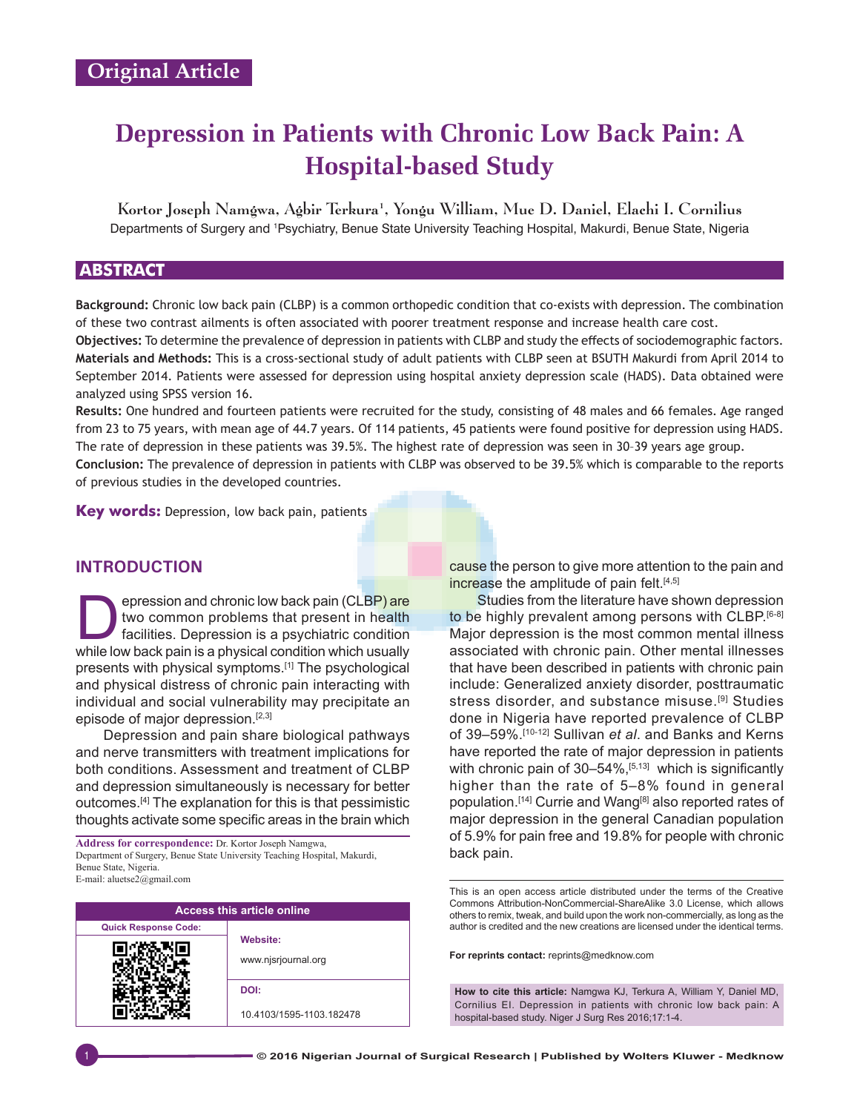# **Depression in Patients with Chronic Low Back Pain: A Hospital‑based Study**

Kortor Joseph Namgwa, Agbir Terkura<sup>1</sup>, Yongu William, Mue D. Daniel, Elachi I. Cornilius Departments of Surgery and <sup>1</sup>Psychiatry, Benue State University Teaching Hospital, Makurdi, Benue State, Nigeria

# **ABSTRACT**

**Background:** Chronic low back pain (CLBP) is a common orthopedic condition that co‑exists with depression. The combination of these two contrast ailments is often associated with poorer treatment response and increase health care cost. **Objectives:** To determine the prevalence of depression in patients with CLBP and study the effects of sociodemographic factors. **Materials and Methods:** This is a cross‑sectional study of adult patients with CLBP seen at BSUTH Makurdi from April 2014 to September 2014. Patients were assessed for depression using hospital anxiety depression scale (HADS). Data obtained were analyzed using SPSS version 16.

**Results:** One hundred and fourteen patients were recruited for the study, consisting of 48 males and 66 females. Age ranged from 23 to 75 years, with mean age of 44.7 years. Of 114 patients, 45 patients were found positive for depression using HADS. The rate of depression in these patients was 39.5%. The highest rate of depression was seen in 30–39 years age group.

**Conclusion:** The prevalence of depression in patients with CLBP was observed to be 39.5% which is comparable to the reports of previous studies in the developed countries.

**Key words:** Depression, low back pain, patients

## **INTRODUCTION**

**Example 15 September 2015**<br>Two common problems that present in health<br>facilities. Depression is a psychiatric condition<br>while low back pain is a physical condition which usually two common problems that present in health facilities. Depression is a psychiatric condition while low back pain is a physical condition which usually presents with physical symptoms.[1] The psychological and physical distress of chronic pain interacting with individual and social vulnerability may precipitate an episode of major depression.<sup>[2,3]</sup>

Depression and pain share biological pathways and nerve transmitters with treatment implications for both conditions. Assessment and treatment of CLBP and depression simultaneously is necessary for better outcomes.[4] The explanation for this is that pessimistic thoughts activate some specific areas in the brain which

back pain. **Address for correspondence:** Dr. Kortor Joseph Namgwa, Department of Surgery, Benue State University Teaching Hospital, Makurdi, Benue State, Nigeria. E‑mail: aluetse2@gmail.com

| <b>Access this article online</b> |                                        |  |  |  |
|-----------------------------------|----------------------------------------|--|--|--|
| <b>Quick Response Code:</b>       |                                        |  |  |  |
|                                   | <b>Website:</b><br>www.njsrjournal.org |  |  |  |
|                                   | DOI:                                   |  |  |  |
|                                   | 10.4103/1595-1103.182478               |  |  |  |

cause the person to give more attention to the pain and increase the amplitude of pain felt.<sup>[4,5]</sup>

Studies from the literature have shown depression to be highly prevalent among persons with CLBP.<sup>[6-8]</sup> Major depression is the most common mental illness associated with chronic pain. Other mental illnesses that have been described in patients with chronic pain include: Generalized anxiety disorder, posttraumatic stress disorder, and substance misuse.<sup>[9]</sup> Studies done in Nigeria have reported prevalence of CLBP of 39–59%.[10-12] Sullivan *et al*. and Banks and Kerns have reported the rate of major depression in patients with chronic pain of 30-54%,<sup>[5,13]</sup> which is significantly higher than the rate of 5–8% found in general population.<sup>[14]</sup> Currie and Wang<sup>[8]</sup> also reported rates of major depression in the general Canadian population of 5.9% for pain free and 19.8% for people with chronic

This is an open access article distributed under the terms of the Creative Commons Attribution-NonCommercial-ShareAlike 3.0 License, which allows others to remix, tweak, and build upon the work non-commercially, as long as the author is credited and the new creations are licensed under the identical terms.

**For reprints contact:** reprints@medknow.com

**How to cite this article:** Namgwa KJ, Terkura A, William Y, Daniel MD, Cornilius EI. Depression in patients with chronic low back pain: A hospital-based study. Niger J Surg Res 2016;17:1-4.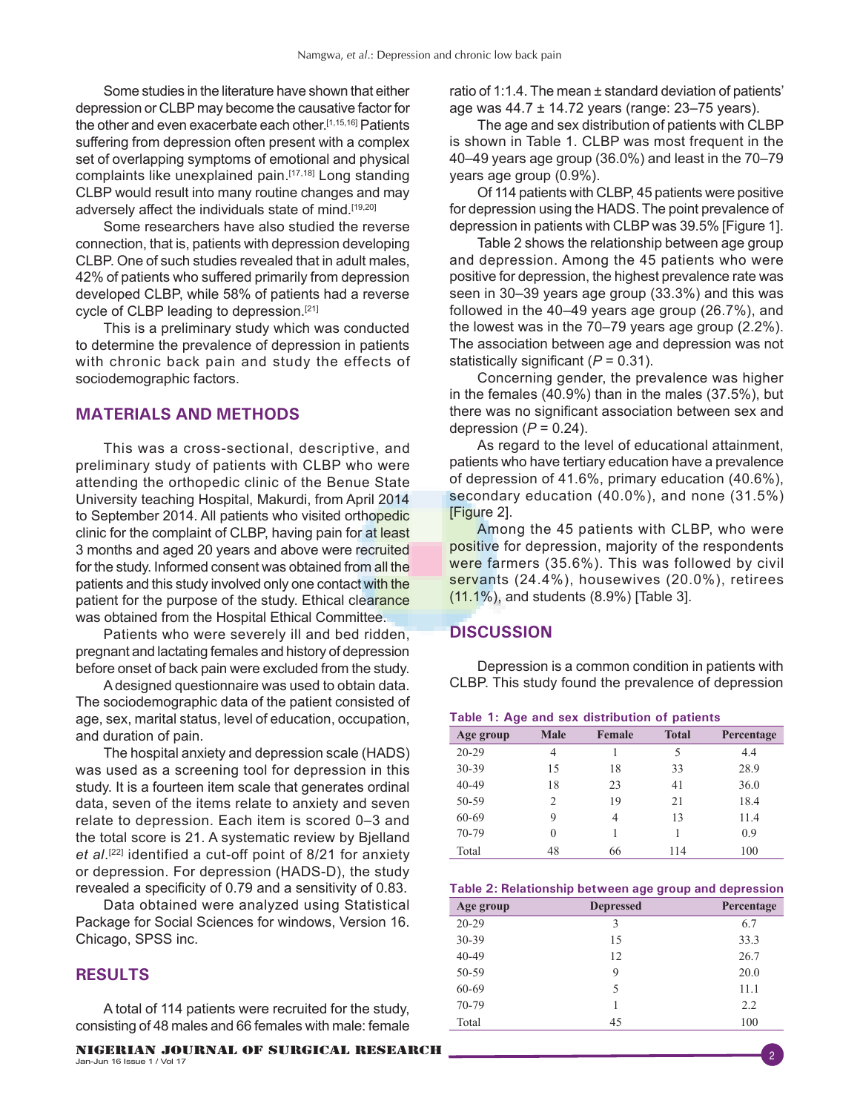Some studies in the literature have shown that either depression or CLBP may become the causative factor for the other and even exacerbate each other.[1,15,16] Patients suffering from depression often present with a complex set of overlapping symptoms of emotional and physical complaints like unexplained pain.[17,18] Long standing CLBP would result into many routine changes and may adversely affect the individuals state of mind.<sup>[19,20]</sup>

Some researchers have also studied the reverse connection, that is, patients with depression developing CLBP. One of such studies revealed that in adult males, 42% of patients who suffered primarily from depression developed CLBP, while 58% of patients had a reverse cycle of CLBP leading to depression.<sup>[21]</sup>

This is a preliminary study which was conducted to determine the prevalence of depression in patients with chronic back pain and study the effects of sociodemographic factors.

## **MATERIALS AND METHODS**

This was a cross-sectional, descriptive, and preliminary study of patients with CLBP who were attending the orthopedic clinic of the Benue State University teaching Hospital, Makurdi, from April 2014 to September 2014. All patients who visited orthopedic clinic for the complaint of CLBP, having pain for at least 3 months and aged 20 years and above were recruited for the study. Informed consent was obtained from all the patients and this study involved only one contact with the patient for the purpose of the study. Ethical clearance was obtained from the Hospital Ethical Committee.

Patients who were severely ill and bed ridden, pregnant and lactating females and history of depression before onset of back pain were excluded from the study.

A designed questionnaire was used to obtain data. The sociodemographic data of the patient consisted of age, sex, marital status, level of education, occupation, and duration of pain.

The hospital anxiety and depression scale (HADS) was used as a screening tool for depression in this study. It is a fourteen item scale that generates ordinal data, seven of the items relate to anxiety and seven relate to depression. Each item is scored 0–3 and the total score is 21. A systematic review by Bjelland *et al*. [22] identified a cut-off point of 8/21 for anxiety or depression. For depression (HADS-D), the study revealed a specificity of 0.79 and a sensitivity of 0.83.

Data obtained were analyzed using Statistical Package for Social Sciences for windows, Version 16. Chicago, SPSS inc.

## **RESULTS**

A total of 114 patients were recruited for the study, consisting of 48 males and 66 females with male: female

ratio of 1:1.4. The mean ± standard deviation of patients' age was 44.7 ± 14.72 years (range: 23–75 years).

The age and sex distribution of patients with CLBP is shown in Table 1. CLBP was most frequent in the 40–49 years age group (36.0%) and least in the 70–79 years age group (0.9%).

Of 114 patients with CLBP, 45 patients were positive for depression using the HADS. The point prevalence of depression in patients with CLBP was 39.5% [Figure 1].

Table 2 shows the relationship between age group and depression. Among the 45 patients who were positive for depression, the highest prevalence rate was seen in 30–39 years age group (33.3%) and this was followed in the 40–49 years age group (26.7%), and the lowest was in the 70–79 years age group (2.2%). The association between age and depression was not statistically significant (*P* = 0.31).

Concerning gender, the prevalence was higher in the females (40.9%) than in the males (37.5%), but there was no significant association between sex and depression  $(P = 0.24)$ .

As regard to the level of educational attainment, patients who have tertiary education have a prevalence of depression of 41.6%, primary education (40.6%), secondary education (40.0%), and none (31.5%) [Figure 2].

Among the 45 patients with CLBP, who were positive for depression, majority of the respondents were farmers (35.6%). This was followed by civil servants (24.4%), housewives (20.0%), retirees (11.1%), and students (8.9%) [Table 3].

## **DISCUSSION**

Depression is a common condition in patients with CLBP. This study found the prevalence of depression

|  |  |  |  |  | Table 1: Age and sex distribution of patients |  |  |
|--|--|--|--|--|-----------------------------------------------|--|--|
|--|--|--|--|--|-----------------------------------------------|--|--|

| Age group | <b>Male</b> | Female | <b>Total</b> | Percentage |
|-----------|-------------|--------|--------------|------------|
| $20 - 29$ | 4           |        | 5            | 4.4        |
| 30-39     | 15          | 18     | 33           | 28.9       |
| $40 - 49$ | 18          | 23     | 41           | 36.0       |
| 50-59     | 2           | 19     | 21           | 18.4       |
| 60-69     | 9           | 4      | 13           | 11.4       |
| 70-79     | 0           |        |              | 0.9        |
| Total     | 48          | 66     | 114          | 100        |

#### **Table 2: Relationship between age group and depression**

| Age group | <b>Depressed</b> | Percentage |
|-----------|------------------|------------|
| $20 - 29$ | 3                | 6.7        |
| 30-39     | 15               | 33.3       |
| $40 - 49$ | 12               | 26.7       |
| 50-59     | 9                | 20.0       |
| 60-69     | 5                | 11.1       |
| 70-79     |                  | 2.2        |
| Total     | 45               | 100        |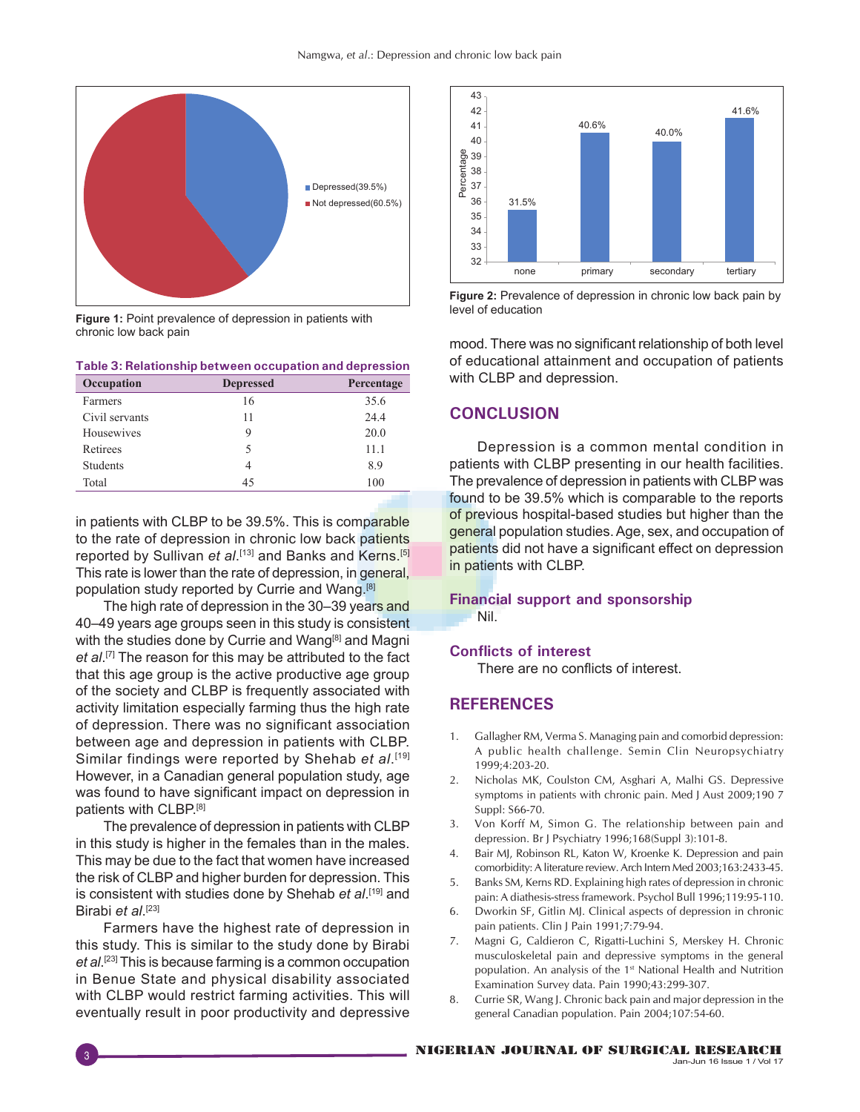

**Figure 1:** Point prevalence of depression in patients with chronic low back pain

| Table 3: Relationship between occupation and depression |                  |            |  |
|---------------------------------------------------------|------------------|------------|--|
| Occupation                                              | <b>Depressed</b> | Percentage |  |
| Farmers                                                 | 16               | 35.6       |  |
| Civil servants                                          | 11               | 24.4       |  |
| Housewives                                              | 9                | 20.0       |  |
| Retirees                                                | 5                | 11.1       |  |
| <b>Students</b>                                         | 4                | 8.9        |  |
| Total                                                   | 45               | 100        |  |

in patients with CLBP to be 39.5%. This is comparable to the rate of depression in chronic low back patients reported by Sullivan *et al*. [13] and Banks and Kerns.[5] This rate is lower than the rate of depression, in general, population study reported by Currie and Wang.[8]

The high rate of depression in the 30–39 years and 40–49 years age groups seen in this study is consistent with the studies done by Currie and Wang<sup>[8]</sup> and Magni et al.<sup>[7]</sup> The reason for this may be attributed to the fact that this age group is the active productive age group of the society and CLBP is frequently associated with activity limitation especially farming thus the high rate of depression. There was no significant association between age and depression in patients with CLBP. Similar findings were reported by Shehab et al.<sup>[19]</sup> However, in a Canadian general population study, age was found to have significant impact on depression in patients with CLBP.[8]

The prevalence of depression in patients with CLBP in this study is higher in the females than in the males. This may be due to the fact that women have increased the risk of CLBP and higher burden for depression. This is consistent with studies done by Shehab *et al*.<sup>[19]</sup> and Birabi *et al*. [23]

Farmers have the highest rate of depression in this study. This is similar to the study done by Birabi *et al*. [23] This is because farming is a common occupation in Benue State and physical disability associated with CLBP would restrict farming activities. This will eventually result in poor productivity and depressive



**Figure 2:** Prevalence of depression in chronic low back pain by level of education

mood. There was no significant relationship of both level of educational attainment and occupation of patients with CLBP and depression.

## **CONCLUSION**

Depression is a common mental condition in patients with CLBP presenting in our health facilities. The prevalence of depression in patients with CLBP was found to be 39.5% which is comparable to the reports of previous hospital-based studies but higher than the general population studies. Age, sex, and occupation of patients did not have a significant effect on depression in patients with CLBP.

## **Financial support and sponsorship** Nil.

## **Conflicts of interest**

There are no conflicts of interest.

## **REFERENCES**

- 1. Gallagher RM, Verma S. Managing pain and comorbid depression: A public health challenge. Semin Clin Neuropsychiatry 1999;4:203‑20.
- 2. Nicholas MK, Coulston CM, Asghari A, Malhi GS. Depressive symptoms in patients with chronic pain. Med J Aust 2009;190 7 Suppl: S66‑70.
- 3. Von Korff M, Simon G. The relationship between pain and depression. Br J Psychiatry 1996;168(Suppl 3):101-8.
- 4. Bair MJ, Robinson RL, Katon W, Kroenke K. Depression and pain comorbidity: A literature review. Arch Intern Med 2003;163:2433‑45.
- 5. Banks SM, Kerns RD. Explaining high rates of depression in chronic pain: A diathesis-stress framework. Psychol Bull 1996;119:95-110.
- 6. Dworkin SF, Gitlin MJ. Clinical aspects of depression in chronic pain patients. Clin J Pain 1991;7:79-94.
- 7. Magni G, Caldieron C, Rigatti-Luchini S, Merskey H. Chronic musculoskeletal pain and depressive symptoms in the general population. An analysis of the 1<sup>st</sup> National Health and Nutrition Examination Survey data. Pain 1990;43:299‑307.
- 8. Currie SR, Wang J. Chronic back pain and major depression in the general Canadian population. Pain 2004;107:54‑60.